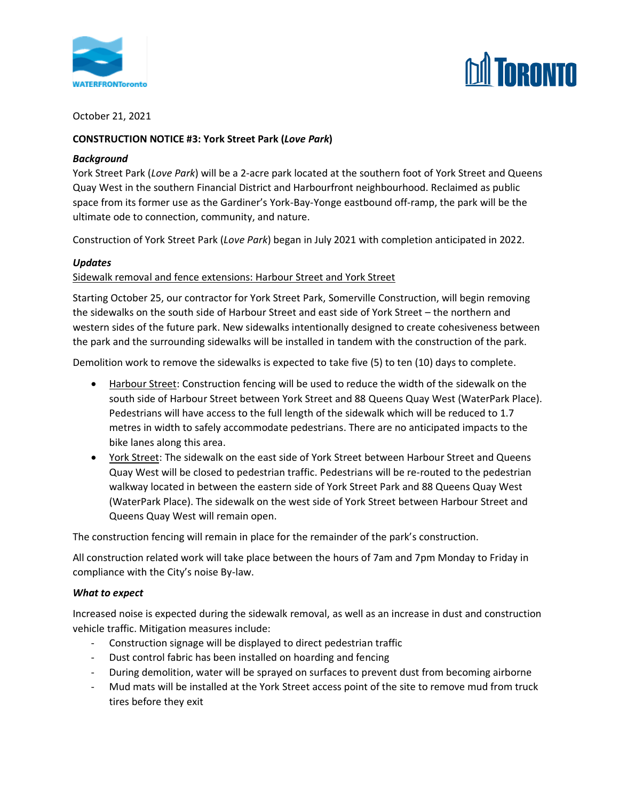



### October 21, 2021

### **CONSTRUCTION NOTICE #3: York Street Park (***Love Park***)**

#### *Background*

York Street Park (*Love Park*) will be a 2-acre park located at the southern foot of York Street and Queens Quay West in the southern Financial District and Harbourfront neighbourhood. Reclaimed as public space from its former use as the Gardiner's York-Bay-Yonge eastbound off-ramp, the park will be the ultimate ode to connection, community, and nature.

Construction of York Street Park (*Love Park*) began in July 2021 with completion anticipated in 2022.

#### *Updates*

#### Sidewalk removal and fence extensions: Harbour Street and York Street

Starting October 25, our contractor for York Street Park, Somerville Construction, will begin removing the sidewalks on the south side of Harbour Street and east side of York Street – the northern and western sides of the future park. New sidewalks intentionally designed to create cohesiveness between the park and the surrounding sidewalks will be installed in tandem with the construction of the park.

Demolition work to remove the sidewalks is expected to take five (5) to ten (10) days to complete.

- Harbour Street: Construction fencing will be used to reduce the width of the sidewalk on the south side of Harbour Street between York Street and 88 Queens Quay West (WaterPark Place). Pedestrians will have access to the full length of the sidewalk which will be reduced to 1.7 metres in width to safely accommodate pedestrians. There are no anticipated impacts to the bike lanes along this area.
- York Street: The sidewalk on the east side of York Street between Harbour Street and Queens Quay West will be closed to pedestrian traffic. Pedestrians will be re-routed to the pedestrian walkway located in between the eastern side of York Street Park and 88 Queens Quay West (WaterPark Place). The sidewalk on the west side of York Street between Harbour Street and Queens Quay West will remain open.

The construction fencing will remain in place for the remainder of the park's construction.

All construction related work will take place between the hours of 7am and 7pm Monday to Friday in compliance with the City's noise By-law.

#### *What to expect*

Increased noise is expected during the sidewalk removal, as well as an increase in dust and construction vehicle traffic. Mitigation measures include:

- Construction signage will be displayed to direct pedestrian traffic
- Dust control fabric has been installed on hoarding and fencing
- During demolition, water will be sprayed on surfaces to prevent dust from becoming airborne
- Mud mats will be installed at the York Street access point of the site to remove mud from truck tires before they exit